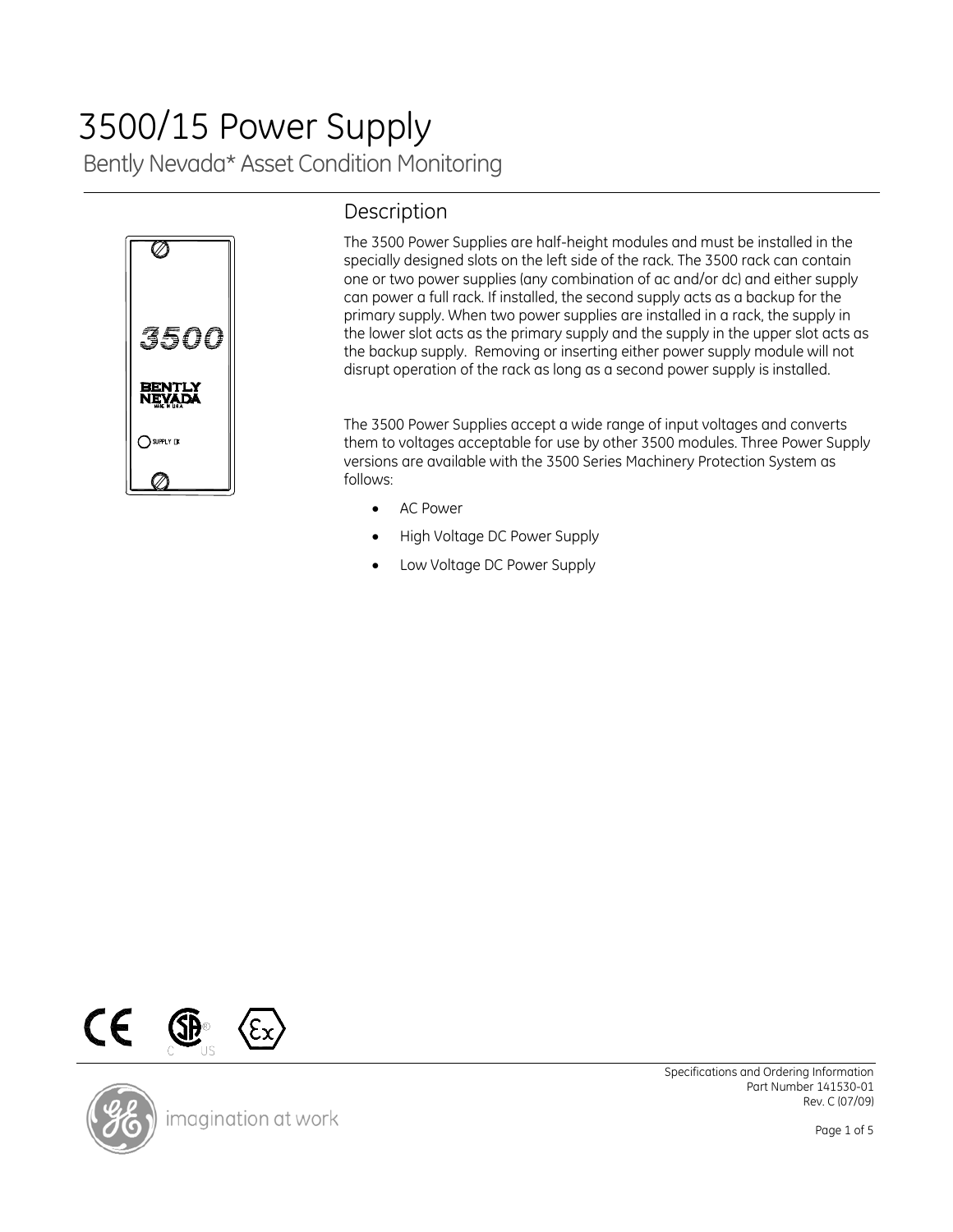# Bently Nevada\* Asset Condition Monitoring 3500/15 Power Supply



# Description

The 3500 Power Supplies are half-height modules and must be installed in the specially designed slots on the left side of the rack. The 3500 rack can contain one or two power supplies (any combination of ac and/or dc) and either supply can power a full rack. If installed, the second supply acts as a backup for the primary supply. When two power supplies are installed in a rack, the supply in the lower slot acts as the primary supply and the supply in the upper slot acts as the backup supply. Removing or inserting either power supply module will not disrupt operation of the rack as long as a second power supply is installed.

The 3500 Power Supplies accept a wide range of input voltages and converts them to voltages acceptable for use by other 3500 modules. Three Power Supply versions are available with the 3500 Series Machinery Protection System as follows:

- AC Power
- High Voltage DC Power Supply
- Low Voltage DC Power Supply





imagination at work

Specifications and Ordering Information Part Number 141530-01 Rev. C (07/09)

Page 1 of 5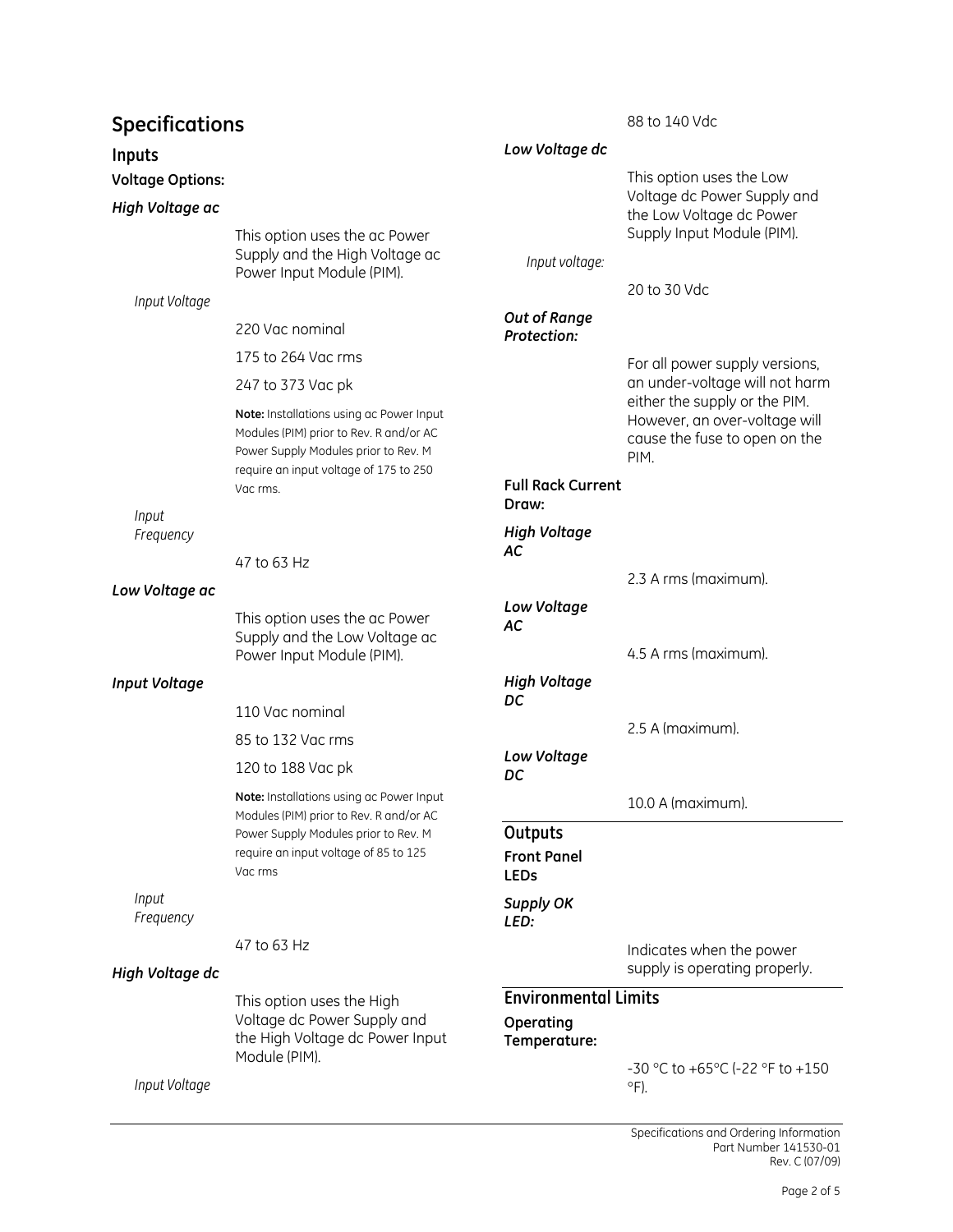# **Specifications**

### **Inputs**

**Voltage Options:** 

#### *High Voltage ac*

This option uses the ac Power Supply and the High Voltage ac Power Input Module (PIM).

*Input Voltage* 

220 Vac nominal

175 to 264 Vac rms

247 to 373 Vac pk

**Note:** Installations using ac Power Input Modules (PIM) prior to Rev. R and/or AC Power Supply Modules prior to Rev. M require an input voltage of 175 to 250 Vac rms.

*Input Frequency* 

47 to 63 Hz

#### *Low Voltage ac*

This option uses the ac Power Supply and the Low Voltage ac Power Input Module (PIM).

### *Input Voltage*

110 Vac nominal

85 to 132 Vac rms

120 to 188 Vac pk

**Note:** Installations using ac Power Input Modules (PIM) prior to Rev. R and/or AC Power Supply Modules prior to Rev. M require an input voltage of 85 to 125 Vac rms

*Input Frequency* 

47 to 63 Hz

### *High Voltage dc*

This option uses the High Voltage dc Power Supply and the High Voltage dc Power Input Module (PIM).

*Input Voltage* 

| Low Voltage dc                     |                                                                                                                                                                     |
|------------------------------------|---------------------------------------------------------------------------------------------------------------------------------------------------------------------|
|                                    | This option uses the Low<br>Voltage dc Power Supply and<br>the Low Voltage dc Power<br>Supply Input Module (PIM).                                                   |
| Input voltage:                     |                                                                                                                                                                     |
|                                    | 20 to 30 Vdc                                                                                                                                                        |
| Out of Range<br><b>Protection:</b> |                                                                                                                                                                     |
|                                    | For all power supply versions,<br>an under-voltage will not harm<br>either the supply or the PIM.<br>However, an over-voltage will<br>cause the fuse to open on the |

88 to 140 Vdc

### **Full Rack Current Draw:**  *High Voltage AC*

2.3 A rms (maximum). *Low Voltage AC*  4.5 A rms (maximum). *High Voltage DC*  2.5 A (maximum). *Low Voltage* 

10.0 A (maximum).

PIM.

**Outputs** 

*DC* 

**Front Panel LEDs**  *Supply OK* 

#### *LED:*

Indicates when the power supply is operating properly.

#### **Environmental Limits Operating Temperature:**

-30 °C to +65°C (-22 °F to +150  $\circ$ F).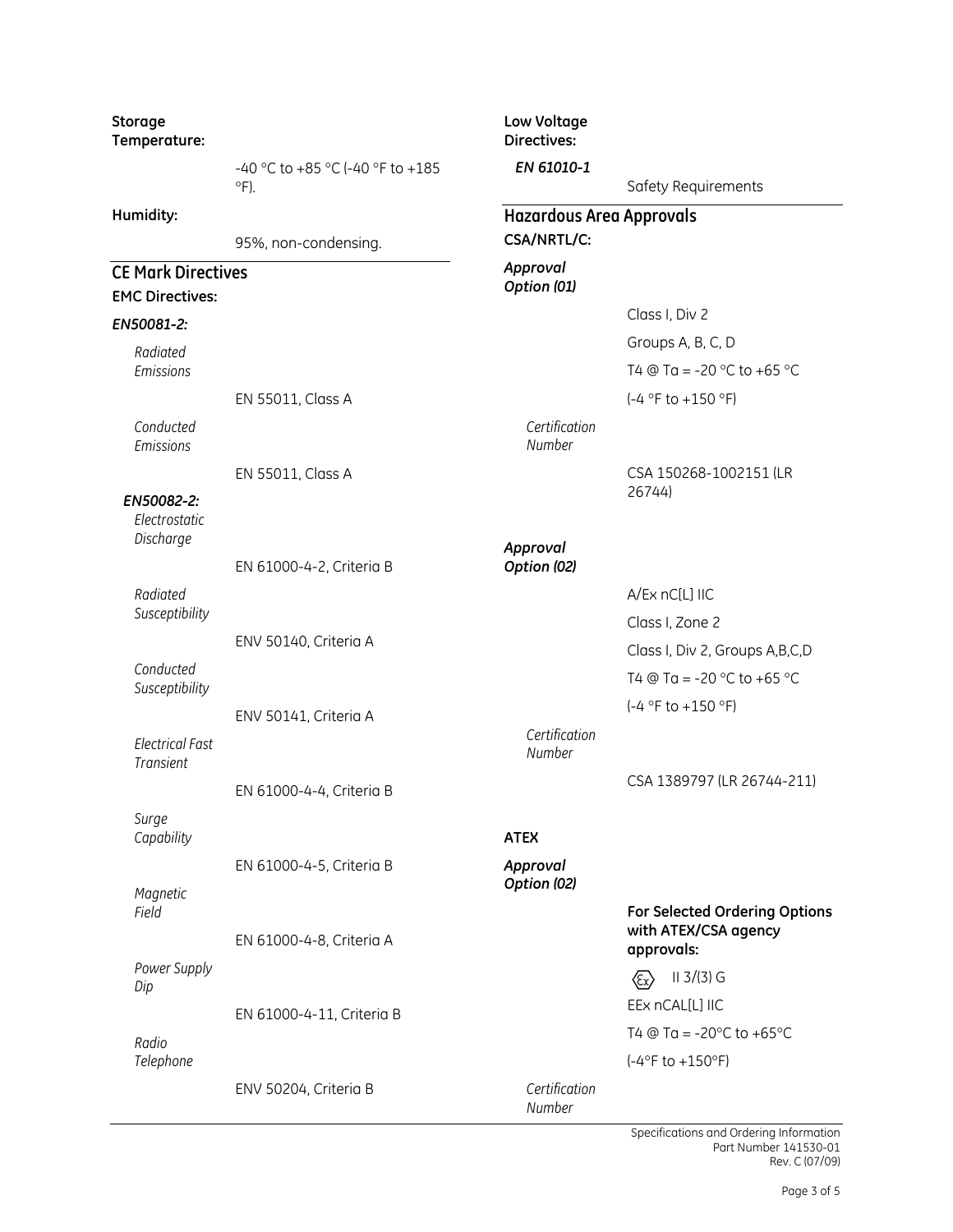| Storage<br>Temperature:                             |                                                 | Low Voltage<br>Directives:      |                                                       |  |  |
|-----------------------------------------------------|-------------------------------------------------|---------------------------------|-------------------------------------------------------|--|--|
|                                                     | -40 °C to +85 °C (-40 °F to +185<br>$\circ$ F). | EN 61010-1                      | Safety Requirements                                   |  |  |
| Humidity:                                           |                                                 | <b>Hazardous Area Approvals</b> |                                                       |  |  |
|                                                     | 95%, non-condensing.                            | CSA/NRTL/C:                     |                                                       |  |  |
| <b>CE Mark Directives</b><br><b>EMC Directives:</b> |                                                 | Approval<br>Option (01)         |                                                       |  |  |
| EN50081-2:                                          |                                                 |                                 | Class I, Div 2                                        |  |  |
| Radiated                                            |                                                 |                                 | Groups A, B, C, D                                     |  |  |
| Emissions                                           |                                                 |                                 | T4 @ Ta = -20 °C to +65 °C                            |  |  |
|                                                     | EN 55011, Class A                               |                                 | $(-4 °F to +150 °F)$                                  |  |  |
| Conducted<br>Emissions                              |                                                 | Certification<br>Number         |                                                       |  |  |
|                                                     | EN 55011, Class A                               |                                 | CSA 150268-1002151 (LR                                |  |  |
| EN50082-2:<br>Electrostatic<br>Discharge            |                                                 |                                 | 26744)                                                |  |  |
|                                                     | EN 61000-4-2, Criteria B                        | Approval<br>Option (02)         |                                                       |  |  |
| Radiated                                            |                                                 |                                 | A/Ex nC[L] IIC                                        |  |  |
| Susceptibility                                      |                                                 |                                 | Class I, Zone 2                                       |  |  |
|                                                     | ENV 50140, Criteria A                           |                                 | Class I, Div 2, Groups A, B, C, D                     |  |  |
| Conducted                                           |                                                 |                                 | T4 @ Ta = -20 °C to +65 °C                            |  |  |
| Susceptibility                                      |                                                 |                                 | $(-4 °F to +150 °F)$                                  |  |  |
|                                                     | ENV 50141, Criteria A                           | Certification                   |                                                       |  |  |
| <b>Electrical Fast</b><br><b>Transient</b>          |                                                 | Number                          |                                                       |  |  |
|                                                     | EN 61000-4-4, Criteria B                        |                                 | CSA 1389797 (LR 26744-211)                            |  |  |
| Surge<br>Capability                                 |                                                 | <b>ATEX</b>                     |                                                       |  |  |
|                                                     | EN 61000-4-5, Criteria B                        | Approval                        |                                                       |  |  |
|                                                     |                                                 | Option (02)                     |                                                       |  |  |
| Magnetic<br>Field                                   | EN 61000-4-8, Criteria A                        |                                 | For Selected Ordering Options<br>with ATEX/CSA agency |  |  |
| Power Supply                                        |                                                 |                                 | approvals:                                            |  |  |
| Dip                                                 |                                                 |                                 | $II$ 3/(3) G                                          |  |  |
|                                                     | EN 61000-4-11, Criteria B                       |                                 | EEx nCAL[L] IIC                                       |  |  |
| Radio                                               |                                                 |                                 | T4 $@$ Ta = -20 $°C$ to +65 $°C$                      |  |  |
| Telephone                                           |                                                 |                                 | $(-4°F to +150°F)$                                    |  |  |
|                                                     | ENV 50204, Criteria B                           | Certification<br>Number         |                                                       |  |  |

Specifications and Ordering Information Part Number 141530-01 Rev. C (07/09)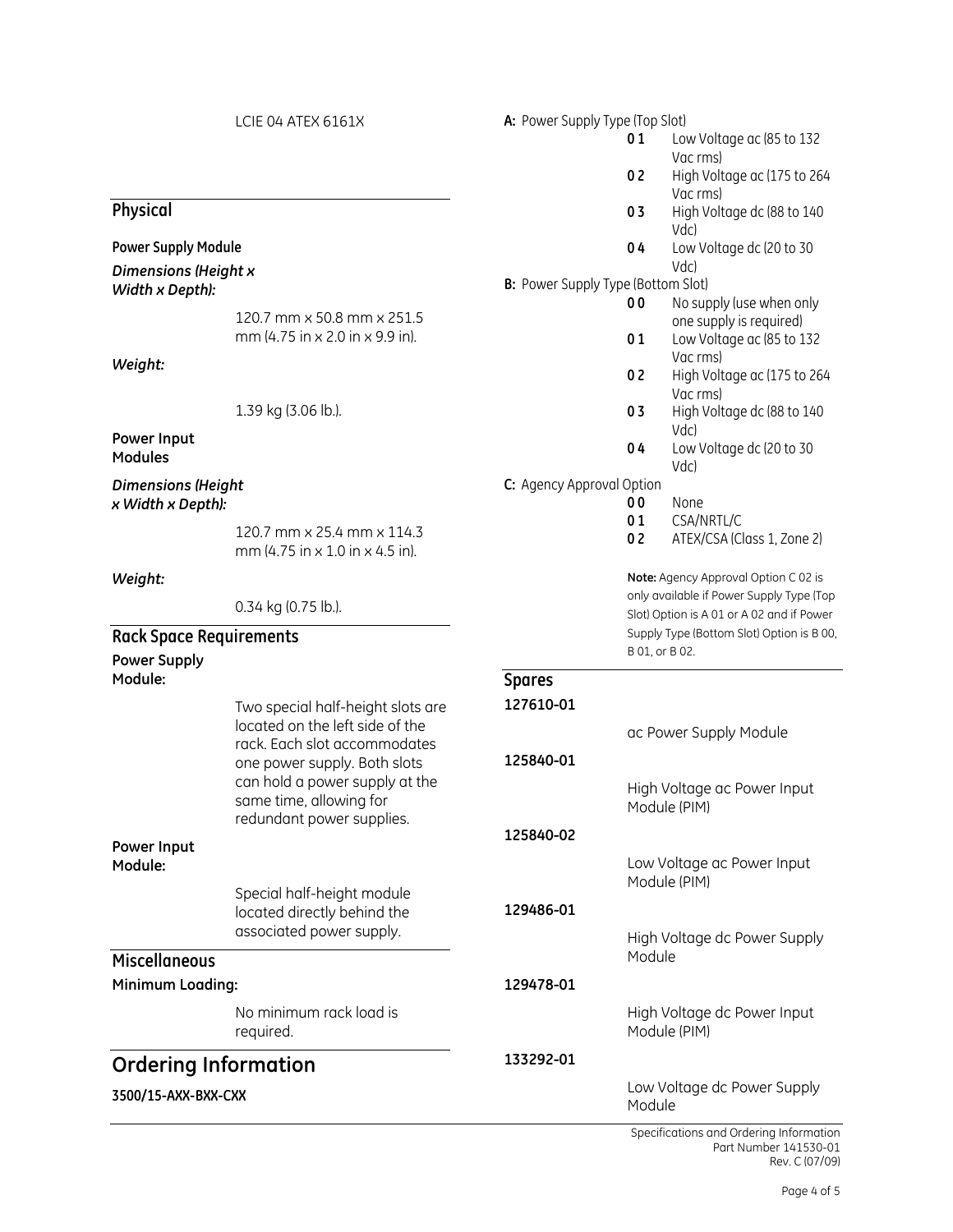|                                                       | LCIE 04 ATEX 6161X                                                                     | A: Power Supply Type (Top Slot)            |                                                             |                                                      |  |
|-------------------------------------------------------|----------------------------------------------------------------------------------------|--------------------------------------------|-------------------------------------------------------------|------------------------------------------------------|--|
|                                                       |                                                                                        |                                            | 01                                                          | Low Voltage ac (85 to 132<br>Vac rms)                |  |
|                                                       |                                                                                        |                                            | 02                                                          | High Voltage ac (175 to 264<br>Vac rms)              |  |
| Physical                                              |                                                                                        |                                            | 03                                                          | High Voltage dc (88 to 140<br>Vdc)                   |  |
| <b>Power Supply Module</b>                            |                                                                                        |                                            | 04                                                          | Low Voltage dc (20 to 30                             |  |
| Dimensions (Height x                                  |                                                                                        | Vdc)<br>B: Power Supply Type (Bottom Slot) |                                                             |                                                      |  |
| Width x Depth):                                       |                                                                                        |                                            | 00                                                          | No supply (use when only                             |  |
|                                                       | 120.7 mm x 50.8 mm x 251.5<br>mm (4.75 in x 2.0 in x 9.9 in).                          |                                            | 01                                                          | one supply is required)<br>Low Voltage ac (85 to 132 |  |
| Weight:                                               |                                                                                        |                                            | 0 <sub>2</sub>                                              | Vac rms)<br>High Voltage ac (175 to 264              |  |
|                                                       | 1.39 kg (3.06 lb.).                                                                    |                                            | 03                                                          | Vac rms)<br>High Voltage dc (88 to 140<br>Vdc)       |  |
| Power Input<br><b>Modules</b>                         |                                                                                        |                                            | 04                                                          | Low Voltage dc (20 to 30<br>Vdc)                     |  |
| <b>Dimensions (Height</b>                             |                                                                                        | C: Agency Approval Option                  |                                                             |                                                      |  |
| x Width x Depth):                                     |                                                                                        |                                            | 00                                                          | None                                                 |  |
|                                                       | 120.7 mm x 25.4 mm x 114.3<br>mm (4.75 in x 1.0 in x 4.5 in).                          |                                            | 01<br>02                                                    | CSA/NRTL/C<br>ATEX/CSA (Class 1, Zone 2)             |  |
| Weight:                                               |                                                                                        |                                            |                                                             | Note: Agency Approval Option C 02 is                 |  |
|                                                       | 0.34 kg (0.75 lb.).                                                                    |                                            |                                                             | only available if Power Supply Type (Top             |  |
|                                                       |                                                                                        |                                            |                                                             | Slot) Option is A 01 or A 02 and if Power            |  |
| <b>Rack Space Requirements</b><br><b>Power Supply</b> |                                                                                        |                                            | Supply Type (Bottom Slot) Option is B 00,<br>B 01, or B 02. |                                                      |  |
| Module:                                               |                                                                                        | <b>Spares</b>                              |                                                             |                                                      |  |
|                                                       | Two special half-height slots are<br>located on the left side of the                   | 127610-01                                  |                                                             | ac Power Supply Module                               |  |
|                                                       | rack. Each slot accommodates<br>one power supply. Both slots                           | 125840-01                                  |                                                             |                                                      |  |
|                                                       | can hold a power supply at the<br>same time, allowing for<br>redundant power supplies. |                                            |                                                             | High Voltage ac Power Input<br>Module (PIM)          |  |
|                                                       |                                                                                        | 125840-02                                  |                                                             |                                                      |  |
| Power Input<br>Module:                                |                                                                                        |                                            |                                                             | Low Voltage ac Power Input<br>Module (PIM)           |  |
|                                                       | Special half-height module<br>located directly behind the<br>associated power supply.  | 129486-01                                  |                                                             |                                                      |  |
| <b>Miscellaneous</b>                                  |                                                                                        |                                            | Module                                                      | High Voltage dc Power Supply                         |  |
| Minimum Loading:                                      |                                                                                        | 129478-01                                  |                                                             |                                                      |  |
|                                                       | No minimum rack load is<br>required.                                                   |                                            |                                                             | High Voltage dc Power Input<br>Module (PIM)          |  |
| <b>Ordering Information</b>                           |                                                                                        | 133292-01                                  |                                                             |                                                      |  |
| 3500/15-AXX-BXX-CXX                                   |                                                                                        |                                            | Module                                                      | Low Voltage dc Power Supply                          |  |
|                                                       |                                                                                        |                                            |                                                             |                                                      |  |

Specifications and Ordering Information Part Number 141530-01 Rev. C (07/09)